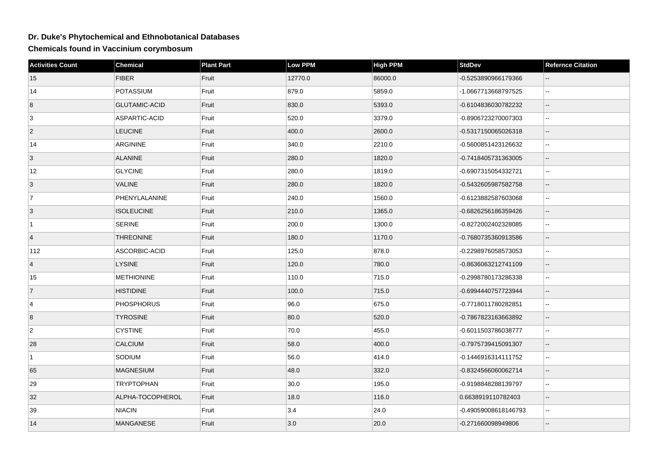## **Dr. Duke's Phytochemical and Ethnobotanical Databases**

**Chemicals found in Vaccinium corymbosum**

| <b>Activities Count</b> | <b>Chemical</b>      | <b>Plant Part</b> | <b>Low PPM</b> | <b>High PPM</b> | <b>StdDev</b>        | <b>Refernce Citation</b>    |
|-------------------------|----------------------|-------------------|----------------|-----------------|----------------------|-----------------------------|
| 15                      | <b>FIBER</b>         | Fruit             | 12770.0        | 86000.0         | -0.5253890966179366  |                             |
| 14                      | POTASSIUM            | Fruit             | 879.0          | 5859.0          | -1.0667713668797525  | $\sim$                      |
| 8                       | <b>GLUTAMIC-ACID</b> | Fruit             | 830.0          | 5393.0          | -0.6104836030782232  | $\overline{\phantom{a}}$    |
| 3                       | ASPARTIC-ACID        | Fruit             | 520.0          | 3379.0          | -0.8906723270007303  | $\sim$                      |
| $\overline{2}$          | <b>LEUCINE</b>       | Fruit             | 400.0          | 2600.0          | -0.5317150065026318  | $\mathbf{u}$                |
| 14                      | ARGININE             | Fruit             | 340.0          | 2210.0          | -0.5600851423126632  | Ξ.                          |
| 3                       | <b>ALANINE</b>       | Fruit             | 280.0          | 1820.0          | -0.7418405731363005  | $\overline{\phantom{a}}$    |
| 12                      | <b>GLYCINE</b>       | Fruit             | 280.0          | 1819.0          | -0.6907315054332721  | $\mathbf{u}$                |
| 3                       | <b>VALINE</b>        | Fruit             | 280.0          | 1820.0          | -0.5432605987582758  | $-$                         |
| 7                       | PHENYLALANINE        | Fruit             | 240.0          | 1560.0          | -0.6123882587603068  | $\ddotsc$                   |
| 3                       | <b>ISOLEUCINE</b>    | Fruit             | 210.0          | 1365.0          | -0.6826256186359426  | $\overline{\phantom{a}}$    |
| ∣1.                     | <b>SERINE</b>        | Fruit             | 200.0          | 1300.0          | -0.8272002402328085  | $\sim$ $\sim$               |
| $\overline{4}$          | <b>THREONINE</b>     | Fruit             | 180.0          | 1170.0          | -0.7680735360913586  | $-$                         |
| 112                     | ASCORBIC-ACID        | Fruit             | 125.0          | 878.0           | -0.2298976058573053  | $\sim$                      |
| 4                       | <b>LYSINE</b>        | Fruit             | 120.0          | 780.0           | -0.8636063212741109  | $\sim$                      |
| 15                      | <b>METHIONINE</b>    | Fruit             | 110.0          | 715.0           | -0.2998780173286338  | $\sim$                      |
| $\overline{7}$          | <b>HISTIDINE</b>     | Fruit             | 100.0          | 715.0           | -0.6994440757723944  | $\mathbf{L}$                |
| $\overline{4}$          | <b>PHOSPHORUS</b>    | Fruit             | 96.0           | 675.0           | -0.7718011780282851  | $\mathbf{u}$                |
| 8                       | <b>TYROSINE</b>      | Fruit             | 80.0           | 520.0           | -0.7867823163663892  | $-$                         |
| $\overline{2}$          | <b>CYSTINE</b>       | Fruit             | 70.0           | 455.0           | -0.6011503786038777  | $\sim$                      |
| 28                      | CALCIUM              | Fruit             | 58.0           | 400.0           | -0.7975739415091307  | $\overline{\phantom{a}}$    |
| $\mathbf{1}$            | SODIUM               | Fruit             | 56.0           | 414.0           | -0.1446916314111752  | $\sim$ $\sim$               |
| 65                      | <b>MAGNESIUM</b>     | Fruit             | 48.0           | 332.0           | -0.8324566060062714  | $\overline{\phantom{a}}$    |
| 29                      | <b>TRYPTOPHAN</b>    | Fruit             | 30.0           | 195.0           | -0.9198848288139797  | $\sim$ $\sim$               |
| 32                      | ALPHA-TOCOPHEROL     | Fruit             | 18.0           | 116.0           | 0.6638919110782403   | Ξ.                          |
| 39                      | <b>NIACIN</b>        | Fruit             | 3.4            | 24.0            | -0.49059008618146793 | $\mathcal{L}_{\mathcal{F}}$ |
| 14                      | MANGANESE            | Fruit             | 3.0            | 20.0            | -0.271660098949806   |                             |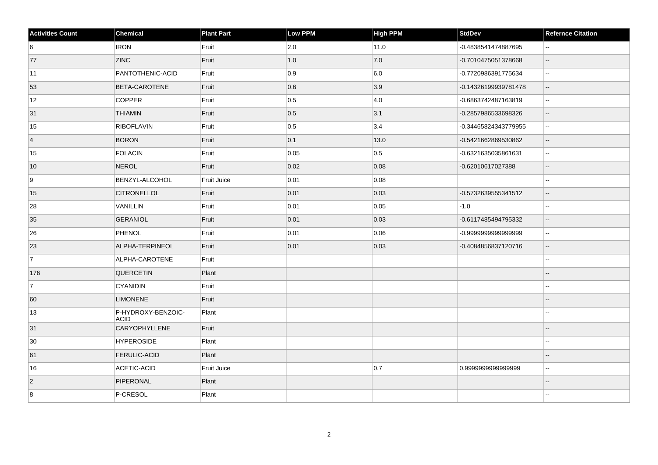| <b>Activities Count</b> | <b>Chemical</b>                   | <b>Plant Part</b> | <b>Low PPM</b> | <b>High PPM</b> | <b>StdDev</b>        | <b>Refernce Citation</b>                      |
|-------------------------|-----------------------------------|-------------------|----------------|-----------------|----------------------|-----------------------------------------------|
| 6                       | <b>IRON</b>                       | Fruit             | 2.0            | 11.0            | -0.4838541474887695  | $\overline{\phantom{a}}$                      |
| 77                      | <b>ZINC</b>                       | Fruit             | 1.0            | 7.0             | -0.7010475051378668  | $\overline{\phantom{a}}$                      |
| 11                      | PANTOTHENIC-ACID                  | Fruit             | 0.9            | 6.0             | -0.7720986391775634  | $\mathcal{L}_{\mathcal{F}}$                   |
| 53                      | <b>BETA-CAROTENE</b>              | Fruit             | 0.6            | 3.9             | -0.14326199939781478 | $\mathord{\hspace{1pt}\text{--}\hspace{1pt}}$ |
| 12                      | <b>COPPER</b>                     | Fruit             | 0.5            | 4.0             | -0.6863742487163819  | $\sim$                                        |
| 31                      | <b>THIAMIN</b>                    | Fruit             | 0.5            | 3.1             | -0.2857986533698326  | $\mathord{\hspace{1pt}\text{--}\hspace{1pt}}$ |
| 15                      | <b>RIBOFLAVIN</b>                 | Fruit             | 0.5            | 3.4             | -0.34465824343779955 | $\sim$                                        |
| $\vert$ 4               | <b>BORON</b>                      | Fruit             | 0.1            | 13.0            | -0.5421662869530862  | $\overline{\phantom{a}}$                      |
| 15                      | <b>FOLACIN</b>                    | Fruit             | 0.05           | $\vert$ 0.5     | -0.6321635035861631  | $\mathbb{L}^2$                                |
| 10                      | NEROL                             | Fruit             | 0.02           | 0.08            | -0.62010617027388    | $\mathbf{L}$                                  |
| 9                       | BENZYL-ALCOHOL                    | Fruit Juice       | 0.01           | 0.08            |                      | $\sim$                                        |
| 15                      | <b>CITRONELLOL</b>                | Fruit             | 0.01           | 0.03            | -0.5732639555341512  | $\overline{a}$                                |
| 28                      | VANILLIN                          | Fruit             | 0.01           | 0.05            | $-1.0$               |                                               |
| 35                      | <b>GERANIOL</b>                   | Fruit             | 0.01           | 0.03            | -0.6117485494795332  | $\overline{\phantom{a}}$                      |
| 26                      | <b>PHENOL</b>                     | Fruit             | 0.01           | 0.06            | -0.999999999999999   | $\sim$ $\sim$                                 |
| 23                      | ALPHA-TERPINEOL                   | Fruit             | 0.01           | 0.03            | -0.4084856837120716  | $\overline{\phantom{a}}$                      |
| 7                       | ALPHA-CAROTENE                    | Fruit             |                |                 |                      | $\sim$                                        |
| 176                     | <b>QUERCETIN</b>                  | Plant             |                |                 |                      |                                               |
| 7                       | <b>CYANIDIN</b>                   | Fruit             |                |                 |                      | $\overline{a}$                                |
| 60                      | <b>LIMONENE</b>                   | Fruit             |                |                 |                      | $\overline{a}$                                |
| 13                      | P-HYDROXY-BENZOIC-<br><b>ACID</b> | Plant             |                |                 |                      | $\overline{a}$                                |
| 31                      | <b>CARYOPHYLLENE</b>              | Fruit             |                |                 |                      | $\overline{a}$                                |
| 30                      | <b>HYPEROSIDE</b>                 | Plant             |                |                 |                      |                                               |
| 61                      | <b>FERULIC-ACID</b>               | Plant             |                |                 |                      | $\overline{\phantom{a}}$                      |
| 16                      | ACETIC-ACID                       | Fruit Juice       |                | 0.7             | 0.9999999999999999   | $\overline{\phantom{a}}$                      |
| $\vert$ 2               | PIPERONAL                         | Plant             |                |                 |                      |                                               |
| 8                       | P-CRESOL                          | Plant             |                |                 |                      |                                               |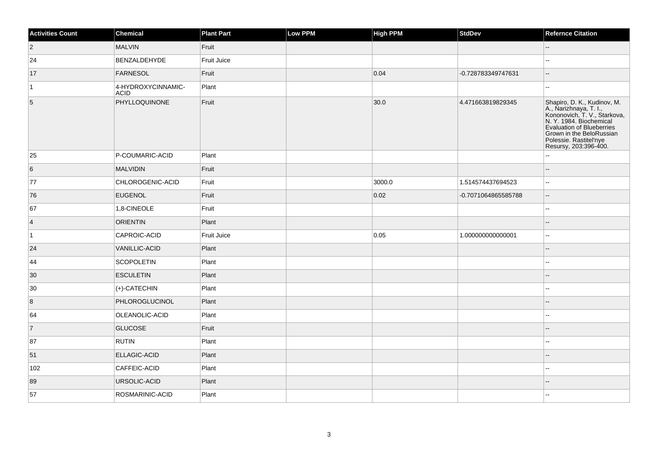| <b>Activities Count</b> | Chemical                          | <b>Plant Part</b> | Low PPM | <b>High PPM</b> | StdDev              | <b>Refernce Citation</b>                                                                                                                                                                                                      |
|-------------------------|-----------------------------------|-------------------|---------|-----------------|---------------------|-------------------------------------------------------------------------------------------------------------------------------------------------------------------------------------------------------------------------------|
| $ 2\rangle$             | MALVIN                            | Fruit             |         |                 |                     | $-$                                                                                                                                                                                                                           |
| 24                      | BENZALDEHYDE                      | Fruit Juice       |         |                 |                     |                                                                                                                                                                                                                               |
| 17                      | FARNESOL                          | Fruit             |         | 0.04            | -0.728783349747631  | $\overline{\phantom{a}}$                                                                                                                                                                                                      |
| $\overline{1}$          | 4-HYDROXYCINNAMIC-<br><b>ACID</b> | Plant             |         |                 |                     | --                                                                                                                                                                                                                            |
| $\overline{5}$          | PHYLLOQUINONE                     | Fruit             |         | 30.0            | 4.471663819829345   | Shapiro, D. K., Kudinov, M.<br>A., Narizhnaya, T. I., Kononovich, T. V., Starkova, N. Y. 1984. Biochemical<br><b>Evaluation of Blueberries</b><br>Grown in the BeloRussian<br>Polessie. Rastitel'nye<br>Resursy, 203:396-400. |
| 25                      | P-COUMARIC-ACID                   | Plant             |         |                 |                     |                                                                                                                                                                                                                               |
| $6\overline{6}$         | MALVIDIN                          | Fruit             |         |                 |                     | $-$                                                                                                                                                                                                                           |
| 77                      | CHLOROGENIC-ACID                  | Fruit             |         | 3000.0          | 1.514574437694523   | $\mathbf{u}$                                                                                                                                                                                                                  |
| 76                      | <b>EUGENOL</b>                    | Fruit             |         | 0.02            | -0.7071064865585788 | $\sim$ $\sim$                                                                                                                                                                                                                 |
| 67                      | 1,8-CINEOLE                       | Fruit             |         |                 |                     | $\overline{\phantom{a}}$                                                                                                                                                                                                      |
| $\vert$ 4               | <b>ORIENTIN</b>                   | Plant             |         |                 |                     | --                                                                                                                                                                                                                            |
| $\vert$ 1               | CAPROIC-ACID                      | Fruit Juice       |         | 0.05            | 1.000000000000001   | $\overline{\phantom{a}}$                                                                                                                                                                                                      |
| 24                      | <b>VANILLIC-ACID</b>              | Plant             |         |                 |                     | --                                                                                                                                                                                                                            |
| 44                      | SCOPOLETIN                        | Plant             |         |                 |                     | $-1$                                                                                                                                                                                                                          |
| 30                      | <b>ESCULETIN</b>                  | Plant             |         |                 |                     | --                                                                                                                                                                                                                            |
| 30                      | (+)-CATECHIN                      | Plant             |         |                 |                     | $\mathbf{u}$                                                                                                                                                                                                                  |
| 8                       | PHLOROGLUCINOL                    | Plant             |         |                 |                     | --                                                                                                                                                                                                                            |
| 64                      | OLEANOLIC-ACID                    | Plant             |         |                 |                     | $\overline{\phantom{a}}$                                                                                                                                                                                                      |
| $\vert$ 7               | <b>GLUCOSE</b>                    | Fruit             |         |                 |                     | $\overline{a}$                                                                                                                                                                                                                |
| 87                      | <b>RUTIN</b>                      | Plant             |         |                 |                     |                                                                                                                                                                                                                               |
| 51                      | ELLAGIC-ACID                      | Plant             |         |                 |                     |                                                                                                                                                                                                                               |
| 102                     | CAFFEIC-ACID                      | Plant             |         |                 |                     |                                                                                                                                                                                                                               |
| 89                      | URSOLIC-ACID                      | Plant             |         |                 |                     |                                                                                                                                                                                                                               |
| 57                      | ROSMARINIC-ACID                   | Plant             |         |                 |                     | --                                                                                                                                                                                                                            |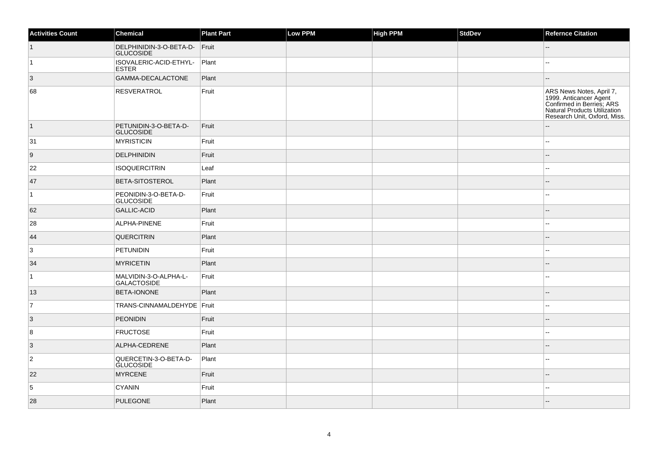| <b>Activities Count</b> | <b>Chemical</b>                             | <b>Plant Part</b> | Low PPM | <b>High PPM</b> | <b>StdDev</b> | <b>Refernce Citation</b>                                                                                                                        |
|-------------------------|---------------------------------------------|-------------------|---------|-----------------|---------------|-------------------------------------------------------------------------------------------------------------------------------------------------|
| $\vert$ 1               | DELPHINIDIN-3-O-BETA-D-<br><b>GLUCOSIDE</b> | Fruit             |         |                 |               | --                                                                                                                                              |
| $\vert$ 1               | ISOVALERIC-ACID-ETHYL-<br><b>ESTER</b>      | Plant             |         |                 |               | --                                                                                                                                              |
| $\vert 3 \vert$         | GAMMA-DECALACTONE                           | Plant             |         |                 |               | ш,                                                                                                                                              |
| 68                      | <b>RESVERATROL</b>                          | Fruit             |         |                 |               | ARS News Notes, April 7,<br>1999. Anticancer Agent<br>Confirmed in Berries; ARS<br>Natural Products Utilization<br>Research Unit, Oxford, Miss. |
| $\vert$ 1               | PETUNIDIN-3-O-BETA-D-<br><b>GLUCOSIDE</b>   | Fruit             |         |                 |               |                                                                                                                                                 |
| 31                      | MYRISTICIN                                  | Fruit             |         |                 |               | $\overline{\phantom{a}}$                                                                                                                        |
| 9                       | DELPHINIDIN                                 | Fruit             |         |                 |               | ш,                                                                                                                                              |
| 22                      | <b>ISOQUERCITRIN</b>                        | Leaf              |         |                 |               | $\overline{\phantom{a}}$                                                                                                                        |
| 47                      | BETA-SITOSTEROL                             | Plant             |         |                 |               | --                                                                                                                                              |
| $\overline{1}$          | PEONIDIN-3-O-BETA-D-<br>GLUCOSIDE           | Fruit             |         |                 |               | $\overline{a}$                                                                                                                                  |
| 62                      | GALLIC-ACID                                 | Plant             |         |                 |               | $-$                                                                                                                                             |
| 28                      | ALPHA-PINENE                                | Fruit             |         |                 |               | шш.                                                                                                                                             |
| 44                      | QUERCITRIN                                  | Plant             |         |                 |               | $-$                                                                                                                                             |
| 3                       | <b>PETUNIDIN</b>                            | Fruit             |         |                 |               | --                                                                                                                                              |
| 34                      | <b>MYRICETIN</b>                            | Plant             |         |                 |               |                                                                                                                                                 |
| $\overline{1}$          | MALVIDIN-3-O-ALPHA-L-<br>GALACTOSIDE        | Fruit             |         |                 |               | $\overline{a}$                                                                                                                                  |
| 13                      | <b>BETA-IONONE</b>                          | Plant             |         |                 |               | $\overline{\phantom{a}}$                                                                                                                        |
| 7                       | TRANS-CINNAMALDEHYDE   Fruit                |                   |         |                 |               | ۵.                                                                                                                                              |
| $\overline{3}$          | <b>PEONIDIN</b>                             | Fruit             |         |                 |               |                                                                                                                                                 |
| 8                       | <b>FRUCTOSE</b>                             | Fruit             |         |                 |               |                                                                                                                                                 |
| 3                       | ALPHA-CEDRENE                               | Plant             |         |                 |               |                                                                                                                                                 |
| $\overline{2}$          | QUERCETIN-3-O-BETA-D-<br><b>GLUCOSIDE</b>   | Plant             |         |                 |               | ۵.                                                                                                                                              |
| 22                      | <b>MYRCENE</b>                              | Fruit             |         |                 |               | $\overline{a}$                                                                                                                                  |
| $\overline{5}$          | <b>CYANIN</b>                               | Fruit             |         |                 |               | ۵.                                                                                                                                              |
| 28                      | <b>PULEGONE</b>                             | Plant             |         |                 |               |                                                                                                                                                 |